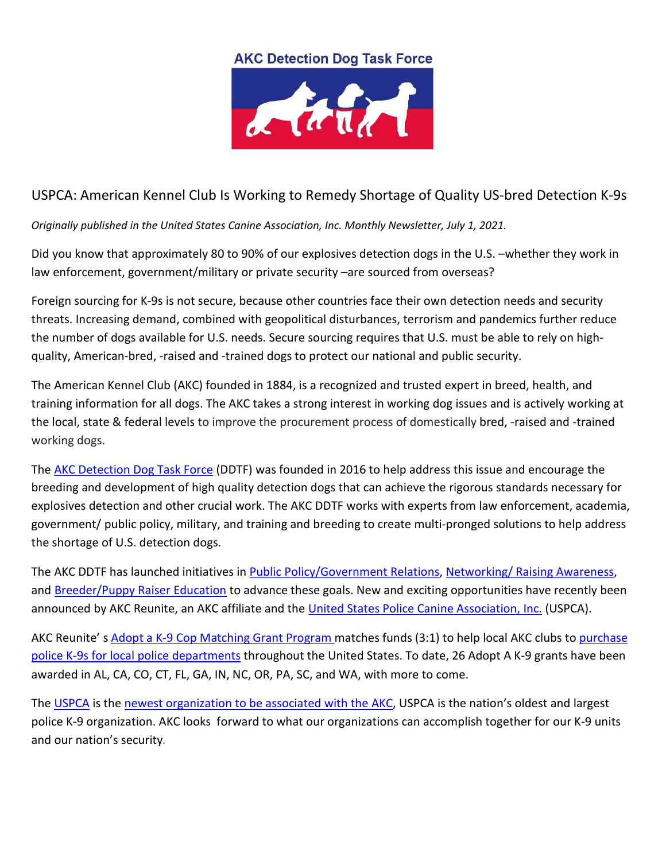## **AKC Detection Dog Task Force**



## USPCA: American Kennel Club Is Working to Remedy Shortage of Quality US-bred Detection K-9s

*Originally published in the United States Canine Association, Inc. Monthly Newsletter, July 1, 2021.* 

Did you know that approximately 80 to 90% of our explosives detection dogs in the U.S. –whether they work in law enforcement, government/military or private security –are sourced from overseas?

Foreign sourcing for K-9s is not secure, because other countries face their own detection needs and security threats. Increasing demand, combined with geopolitical disturbances, terrorism and pandemics further reduce the number of dogs available for U.S. needs. Secure sourcing requires that U.S. must be able to rely on highquality, American-bred, -raised and -trained dogs to protect our national and public security.

The American Kennel Club (AKC) founded in 1884, is a recognized and trusted expert in breed, health, and training information for all dogs. The AKC takes a strong interest in working dog issues and is actively working at the local, state & federal levels to improve the procurement process of domestically bred, -raised and -trained working dogs.

The [AKC Detection Dog Task Force](https://www.akc.org/akc-detection-dog-task-force/) (DDTF) was founded in 2016 to help address this issue and encourage the breeding and development of high quality detection dogs that can achieve the rigorous standards necessary for explosives detection and other crucial work. The AKC DDTF works with experts from law enforcement, academia, government/ public policy, military, and training and breeding to create multi-pronged solutions to help address the shortage of U.S. detection dogs.

The AKC DDTF has launched initiatives in [Public Policy/Government Relations,](https://www.akc.org/akc-detection-dog-task-force/akc-detection-dog-task-force-facts/) [Networking/ Raising Awareness,](https://www.akc.org/akc-detection-dog-task-force/akc-us-detection-dog-conferences/) and [Breeder/Puppy Raiser Education](https://www.akc.org/akc-detection-dog-task-force/akc-pilot-detection-puppy-rearing-program/) to advance these goals. New and exciting opportunities have recently been announced by AKC Reunite, an AKC affiliate and the [United States Police Canine Association, Inc.](https://www.uspcak9.com/) (USPCA).

AKC Reunite' s [Adopt a K-9 Cop Matching Grant Program](https://www.akcreunite.org/k9/) matches funds (3:1) to help local AKC clubs to [purchase](https://cqrcengage.com/akc/file/bvWXZ1OqqmX/AdoptaK9Cop_FINAL.pdf)  police K-9s [for local police departments](https://cqrcengage.com/akc/file/bvWXZ1OqqmX/AdoptaK9Cop_FINAL.pdf) throughout the United States. To date, 26 Adopt A K-9 grants have been awarded in AL, CA, CO, CT, FL, GA, IN, NC, OR, PA, SC, and WA, with more to come.

Th[e USPCA](https://www.uspcak9.com/about) is the [newest organization to be associated with the AKC,](https://cqrcengage.com/akc/file/j7QF2GG59je/USPoliceCanineAssoc_FINAL.pdf) USPCA is the nation's oldest and largest police K-9 organization. AKC looks forward to what our organizations can accomplish together for our K-9 units and our nation's security*.*